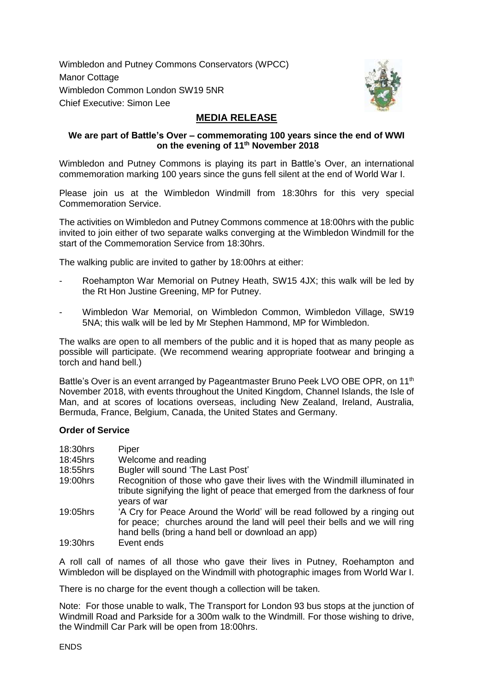Wimbledon and Putney Commons Conservators (WPCC) Manor Cottage Wimbledon Common London SW19 5NR Chief Executive: Simon Lee



## **MEDIA RELEASE**

## **We are part of Battle's Over – commemorating 100 years since the end of WWI on the evening of 11th November 2018**

Wimbledon and Putney Commons is playing its part in Battle's Over, an international commemoration marking 100 years since the guns fell silent at the end of World War I.

Please join us at the Wimbledon Windmill from 18:30hrs for this very special Commemoration Service.

The activities on Wimbledon and Putney Commons commence at 18:00hrs with the public invited to join either of two separate walks converging at the Wimbledon Windmill for the start of the Commemoration Service from 18:30hrs.

The walking public are invited to gather by 18:00hrs at either:

- Roehampton War Memorial on Putney Heath, SW15 4JX; this walk will be led by the Rt Hon Justine Greening, MP for Putney.
- Wimbledon War Memorial, on Wimbledon Common, Wimbledon Village, SW19 5NA; this walk will be led by Mr Stephen Hammond, MP for Wimbledon.

The walks are open to all members of the public and it is hoped that as many people as possible will participate. (We recommend wearing appropriate footwear and bringing a torch and hand bell.)

Battle's Over is an event arranged by Pageantmaster Bruno Peek LVO OBE OPR, on 11<sup>th</sup> November 2018, with events throughout the United Kingdom, Channel Islands, the Isle of Man, and at scores of locations overseas, including New Zealand, Ireland, Australia, Bermuda, France, Belgium, Canada, the United States and Germany.

## **Order of Service**

| 18:30hrs | Piper                                                                                                                                                                                                        |
|----------|--------------------------------------------------------------------------------------------------------------------------------------------------------------------------------------------------------------|
| 18:45hrs | Welcome and reading                                                                                                                                                                                          |
| 18:55hrs | Bugler will sound 'The Last Post'                                                                                                                                                                            |
| 19:00hrs | Recognition of those who gave their lives with the Windmill illuminated in<br>tribute signifying the light of peace that emerged from the darkness of four<br>years of war                                   |
| 19:05hrs | 'A Cry for Peace Around the World' will be read followed by a ringing out<br>for peace; churches around the land will peel their bells and we will ring<br>hand bells (bring a hand bell or download an app) |
| 19:30hrs | Event ends                                                                                                                                                                                                   |

A roll call of names of all those who gave their lives in Putney, Roehampton and Wimbledon will be displayed on the Windmill with photographic images from World War I.

There is no charge for the event though a collection will be taken.

Note: For those unable to walk, The Transport for London 93 bus stops at the junction of Windmill Road and Parkside for a 300m walk to the Windmill. For those wishing to drive, the Windmill Car Park will be open from 18:00hrs.